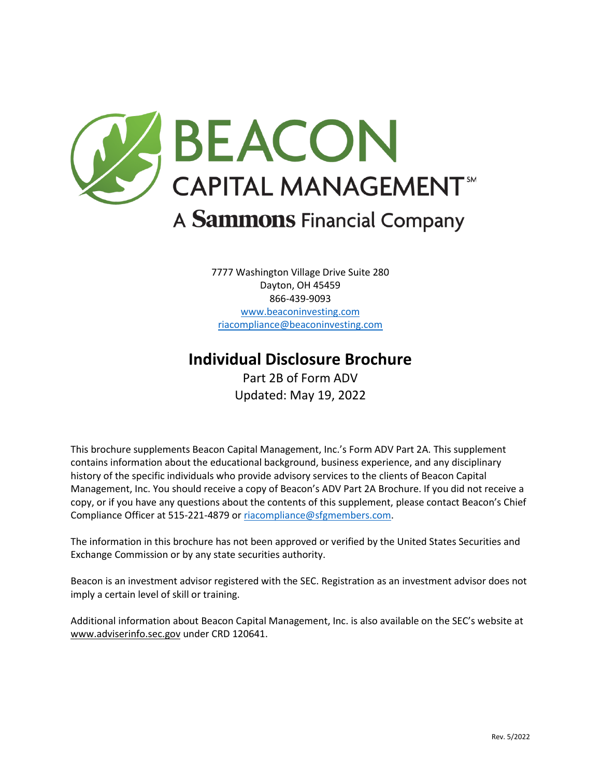

7777 Washington Village Drive Suite 280 Dayton, OH 45459 866-439-9093 [www.beaconinvesting.com](http://www.beaconinvesting.com/) [riacompliance@beaconinvesting.com](mailto:riacompliance@beaconinvesting.com)

# **Individual Disclosure Brochure**

Part 2B of Form ADV Updated: May 19, 2022

This brochure supplements Beacon Capital Management, Inc.'s Form ADV Part 2A. This supplement contains information about the educational background, business experience, and any disciplinary history of the specific individuals who provide advisory services to the clients of Beacon Capital Management, Inc. You should receive a copy of Beacon's ADV Part 2A Brochure. If you did not receive a copy, or if you have any questions about the contents of this supplement, please contact Beacon's Chief Compliance Officer at 515-221-4879 o[r riacompliance@sfgmembers.com.](mailto:riacompliance@sfgmembers.com)

The information in this brochure has not been approved or verified by the United States Securities and Exchange Commission or by any state securities authority.

Beacon is an investment advisor registered with the SEC. Registration as an investment advisor does not imply a certain level of skill or training.

Additional information about Beacon Capital Management, Inc. is also available on the SEC's website at [www.adviserinfo.sec.gov](http://www.adviserinfo.sec.gov/) under CRD 120641.